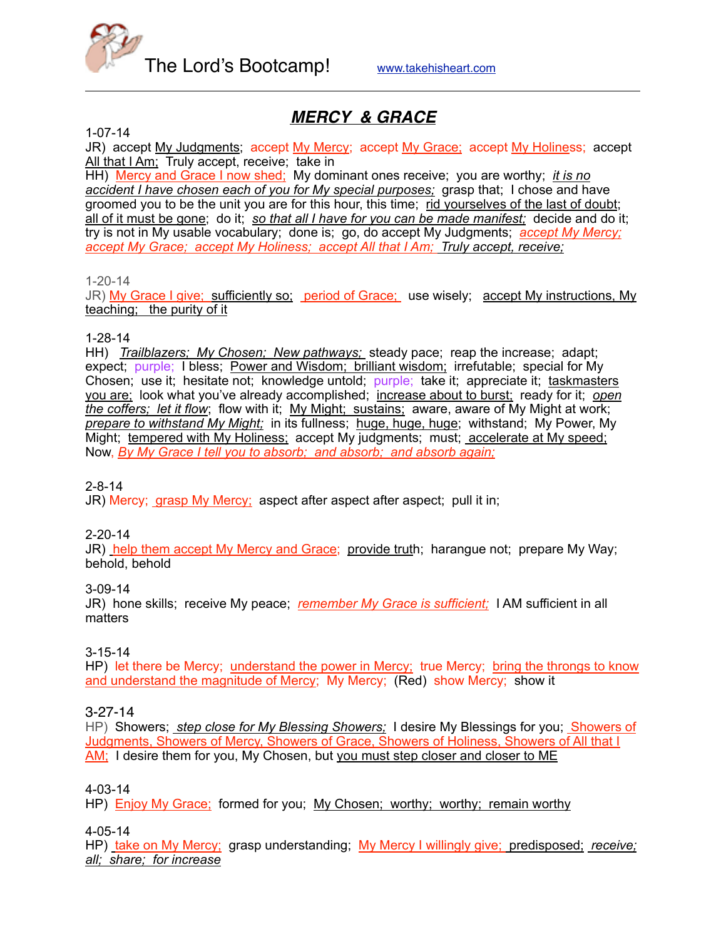

# *MERCY & GRACE*

1-07-14

JR) accept My Judgments; accept My Mercy; accept My Grace; accept My Holiness; accept All that I Am; Truly accept, receive; take in

HH) Mercy and Grace I now shed; My dominant ones receive; you are worthy; *it is no accident I have chosen each of you for My special purposes;* grasp that; I chose and have groomed you to be the unit you are for this hour, this time; rid yourselves of the last of doubt; all of it must be gone; do it; *so that all I have for you can be made manifest;* decide and do it; try is not in My usable vocabulary; done is; go, do accept My Judgments; *accept My Mercy; accept My Grace; accept My Holiness; accept All that I Am; Truly accept, receive;*

1-20-14

JR) My Grace I give; sufficiently so; period of Grace; use wisely; accept My instructions, My teaching; the purity of it

#### 1-28-14

HH) *Trailblazers; My Chosen; New pathways;* steady pace; reap the increase; adapt; expect; purple; I bless; Power and Wisdom; brilliant wisdom; irrefutable; special for My Chosen; use it; hesitate not; knowledge untold; purple; take it; appreciate it; taskmasters you are; look what you've already accomplished; increase about to burst; ready for it; *open the coffers; let it flow*; flow with it; My Might; sustains; aware, aware of My Might at work; *prepare to withstand My Might;* in its fullness; huge, huge, huge; withstand; My Power, My Might; tempered with My Holiness; accept My judgments; must; accelerate at My speed; Now, *By My Grace I tell you to absorb; and absorb; and absorb again;*

2-8-14

JR) Mercy; grasp My Mercy; aspect after aspect after aspect; pull it in;

2-20-14

JR) help them accept My Mercy and Grace; provide truth; harangue not; prepare My Way; behold, behold

3-09-14

JR) hone skills; receive My peace; *remember My Grace is sufficient;* I AM sufficient in all matters

3-15-14

HP) let there be Mercy; understand the power in Mercy; true Mercy; bring the throngs to know and understand the magnitude of Mercy; My Mercy; (Red) show Mercy; show it

3-27-14

HP) Showers; *step close for My Blessing Showers;* I desire My Blessings for you; *Showers of* Judgments, Showers of Mercy, Showers of Grace, Showers of Holiness, Showers of All that I AM; I desire them for you, My Chosen, but you must step closer and closer to ME

4-03-14

HP) Enjoy My Grace; formed for you; My Chosen; worthy; worthy; remain worthy

4-05-14

HP) take on My Mercy; grasp understanding; My Mercy I willingly give; predisposed; receive; *all; share; for increase*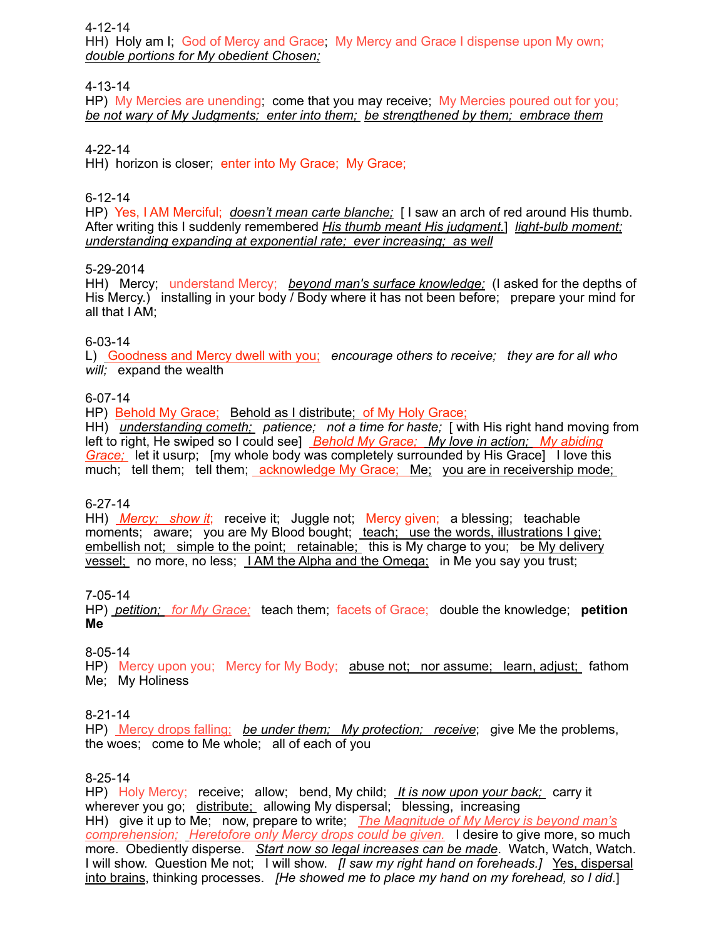4-12-14

HH) Holy am I; God of Mercy and Grace; My Mercy and Grace I dispense upon My own; *double portions for My obedient Chosen;*

4-13-14

HP) My Mercies are unending; come that you may receive; My Mercies poured out for you; *be not wary of My Judgments; enter into them; be strengthened by them; embrace them*

4-22-14

HH) horizon is closer; enter into My Grace; My Grace;

6-12-14

HP) Yes, I AM Merciful; *doesn't mean carte blanche*; [I saw an arch of red around His thumb. After writing this I suddenly remembered *His thumb meant His judgment.*] *light-bulb moment; understanding expanding at exponential rate; ever increasing; as well*

#### 5-29-2014

HH) Mercy; understand Mercy; *beyond man's surface knowledge;* (I asked for the depths of His Mercy.) installing in your body / Body where it has not been before; prepare your mind for all that I AM;

#### 6-03-14

L) Goodness and Mercy dwell with you; *encourage others to receive; they are for all who will;* expand the wealth

6-07-14

HP) Behold My Grace; Behold as I distribute; of My Holy Grace;

HH) *understanding cometh;* patience; not a time for haste; I with His right hand moving from left to right, He swiped so I could see] *Behold My Grace; My love in action; My abiding Grace;* let it usurp; [my whole body was completely surrounded by His Grace] I love this much; tell them; tell them; acknowledge My Grace; Me; you are in receivership mode;

6-27-14

HH) *Mercy; show it*; receive it; Juggle not; Mercy given; a blessing; teachable moments; aware; you are My Blood bought; teach; use the words, illustrations I give; embellish not; simple to the point; retainable; this is My charge to you; be My delivery vessel; no more, no less; I AM the Alpha and the Omega; in Me you say you trust;

7-05-14

HP) *petition; for My Grace;* teach them; facets of Grace; double the knowledge; **petition Me**

8-05-14

HP) Mercy upon you; Mercy for My Body; abuse not; nor assume; learn, adjust; fathom Me; My Holiness

8-21-14

HP) Mercy drops falling; *be under them; My protection; receive*; give Me the problems, the woes; come to Me whole; all of each of you

### 8-25-14

HP) Holy Mercy; receive; allow; bend, My child; *It is now upon your back;* carry it wherever you go; distribute; allowing My dispersal; blessing, increasing HH) give it up to Me; now, prepare to write; *The Magnitude of My Mercy is beyond man's comprehension; Heretofore only Mercy drops could be given.* I desire to give more, so much more. Obediently disperse. *Start now so legal increases can be made*. Watch, Watch, Watch. I will show. Question Me not; I will show. *[I saw my right hand on foreheads.]* Yes, dispersal into brains, thinking processes. *[He showed me to place my hand on my forehead, so I did.*]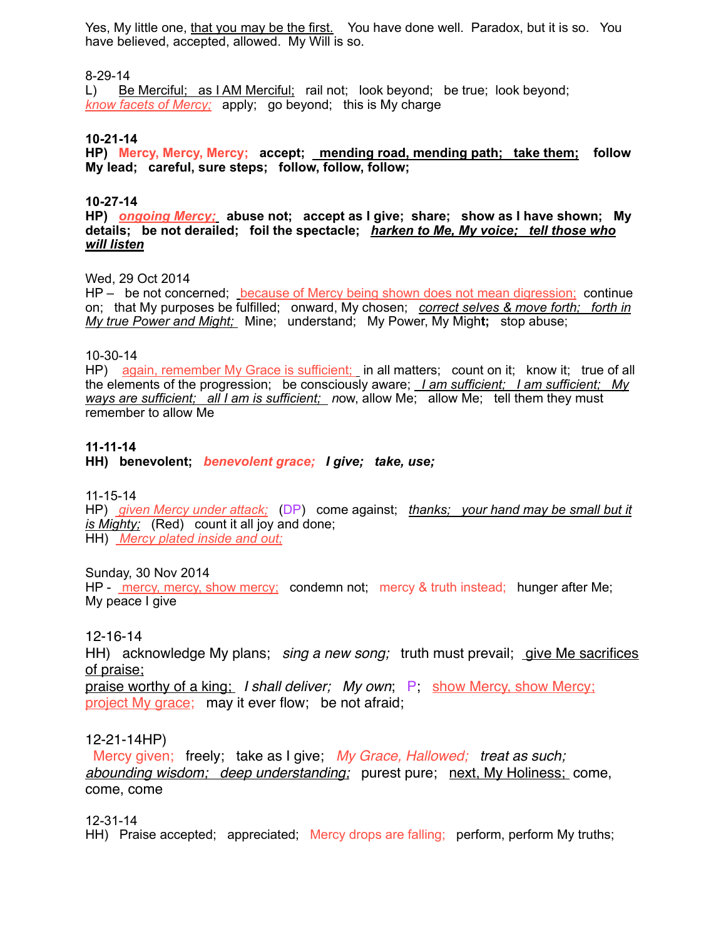Yes, My little one, that you may be the first. You have done well. Paradox, but it is so. You have believed, accepted, allowed. My Will is so.

#### 8-29-14

L) Be Merciful; as I AM Merciful; rail not; look beyond; be true; look beyond; *know facets of Mercy;* apply; go beyond; this is My charge

#### **10-21-14**

**HP) Mercy, Mercy, Mercy; accept; mending road, mending path; take them; follow My lead; careful, sure steps; follow, follow, follow;** 

#### **10-27-14**

**HP)** *ongoing Mercy;* **abuse not; accept as I give; share; show as I have shown; My details; be not derailed; foil the spectacle;** *harken to Me, My voice; tell those who will listen*

#### Wed, 29 Oct 2014

HP – be not concerned; because of Mercy being shown does not mean digression; continue on; that My purposes be fulfilled; onward, My chosen; *correct selves & move forth; forth in My true Power and Might;* Mine; understand; My Power, My Migh**t;** stop abuse;

#### 10-30-14

HP) again, remember My Grace is sufficient; in all matters; count on it; know it; true of all the elements of the progression; be consciously aware; *I am sufficient; I am sufficient; My ways are sufficient; all I am is sufficient; n*ow, allow Me; allow Me; tell them they must remember to allow Me

#### **11-11-14**

**HH) benevolent;** *benevolent grace; I give; take, use;*

11-15-14

HP) *given Mercy under attack;* (DP) come against; *thanks; your hand may be small but it is Mighty;* (Red) count it all joy and done; HH) *Mercy plated inside and out;*

#### Sunday, 30 Nov 2014

HP - mercy, mercy, show mercy; condemn not; mercy & truth instead; hunger after Me; My peace I give

#### 12-16-14

HH) acknowledge My plans; *sing a new song;* truth must prevail; give Me sacrifices of praise;

praise worthy of a king; *I shall deliver; My own*; P; show Mercy, show Mercy; project My grace; may it ever flow; be not afraid;

#### 12-21-14HP)

 Mercy given; freely; take as I give; *My Grace, Hallowed; treat as such; abounding wisdom; deep understanding;* purest pure; next, My Holiness; come, come, come

#### 12-31-14

HH) Praise accepted; appreciated; Mercy drops are falling; perform, perform My truths;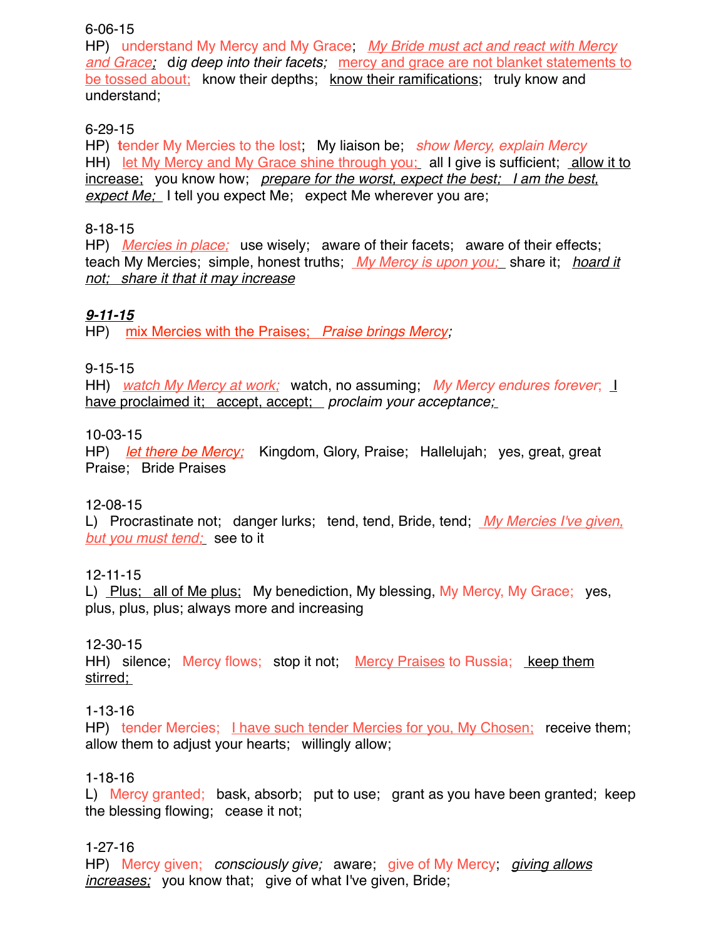#### 6-06-15

HP) understand My Mercy and My Grace; *My Bride must act and react with Mercy and Grace;* d*ig deep into their facets;* mercy and grace are not blanket statements to be tossed about; know their depths; know their ramifications; truly know and understand;

# 6-29-15

HP) **t**ender My Mercies to the lost; My liaison be; *show Mercy, explain Mercy* HH) let My Mercy and My Grace shine through you; all I give is sufficient; allow it to increase; you know how; *prepare for the worst, expect the best; I am the best, expect Me;* I tell you expect Me; expect Me wherever you are;

## 8-18-15

HP) *Mercies in place;* use wisely; aware of their facets; aware of their effects; teach My Mercies; simple, honest truths; *My Mercy is upon you;* share it; *hoard it not; share it that it may increase*

# *9-11-15*

HP) mix Mercies with the Praises; *Praise brings Mercy;*

# 9-15-15

HH) *watch My Mercy at work;* watch, no assuming; *My Mercy endures forever*; I have proclaimed it; accept, accept; *proclaim your acceptance;*

# 10-03-15

HP) *let there be Mercy;* Kingdom, Glory, Praise; Hallelujah; yes, great, great Praise; Bride Praises

# 12-08-15

L) Procrastinate not; danger lurks; tend, tend, Bride, tend; *My Mercies I've given, but you must tend;* see to it

### 12-11-15

L) Plus; all of Me plus; My benediction, My blessing, My Mercy, My Grace; yes, plus, plus, plus; always more and increasing

# 12-30-15

HH) silence; Mercy flows; stop it not; Mercy Praises to Russia; keep them stirred;

### 1-13-16

HP) tender Mercies; I have such tender Mercies for you, My Chosen; receive them; allow them to adjust your hearts; willingly allow;

### 1-18-16

L) Mercy granted; bask, absorb; put to use; grant as you have been granted; keep the blessing flowing; cease it not;

### 1-27-16

HP) Mercy given; *consciously give;* aware; give of My Mercy; *giving allows increases;* you know that; give of what I've given, Bride;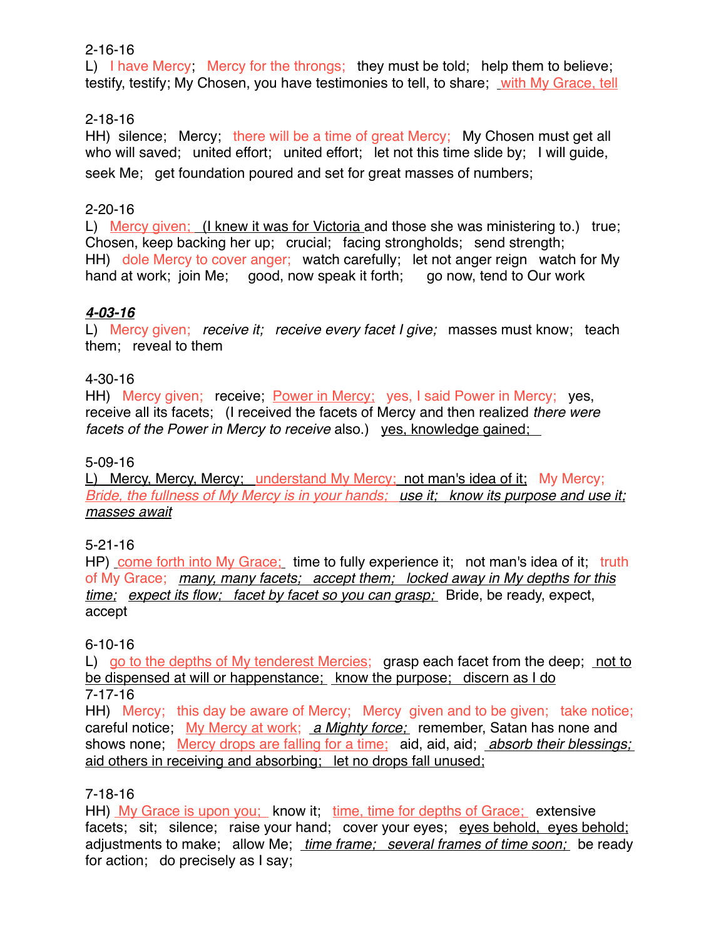### 2-16-16

L) I have Mercy; Mercy for the throngs; they must be told; help them to believe; testify, testify; My Chosen, you have testimonies to tell, to share; with My Grace, tell

# 2-18-16

HH) silence; Mercy; there will be a time of great Mercy; My Chosen must get all who will saved; united effort; united effort; let not this time slide by; I will quide, seek Me; get foundation poured and set for great masses of numbers;

# 2-20-16

L) Mercy given; (I knew it was for Victoria and those she was ministering to.) true; Chosen, keep backing her up; crucial; facing strongholds; send strength; HH) dole Mercy to cover anger; watch carefully; let not anger reign watch for My hand at work; join Me; good, now speak it forth; go now, tend to Our work

# *4-03-16*

L) Mercy given; *receive it; receive every facet I give;* masses must know; teach them; reveal to them

### 4-30-16

HH) Mercy given; receive; Power in Mercy; yes, I said Power in Mercy; yes, receive all its facets; (I received the facets of Mercy and then realized *there were facets of the Power in Mercy to receive* also.) yes, knowledge gained;

### 5-09-16

L) Mercy, Mercy, Mercy; understand My Mercy; not man's idea of it; My Mercy; *Bride, the fullness of My Mercy is in your hands; use it; know its purpose and use it; masses await*

### 5-21-16

HP) come forth into My Grace; time to fully experience it; not man's idea of it; truth of My Grace; *many, many facets; accept them; locked away in My depths for this time; expect its flow; facet by facet so you can grasp;* Bride, be ready, expect, accept

### 6-10-16

L) go to the depths of My tenderest Mercies; grasp each facet from the deep; not to be dispensed at will or happenstance; know the purpose; discern as I do 7-17-16

HH) Mercy; this day be aware of Mercy; Mercy given and to be given; take notice; careful notice; My Mercy at work; *a Mighty force;* remember, Satan has none and shows none; Mercy drops are falling for a time; aid, aid, aid; *absorb their blessings;*  aid others in receiving and absorbing; let no drops fall unused;

# 7-18-16

HH) My Grace is upon you; know it; time, time for depths of Grace; extensive facets; sit; silence; raise your hand; cover your eyes; eyes behold, eyes behold; adjustments to make; allow Me; *time frame; several frames of time soon;* be ready for action; do precisely as I say;